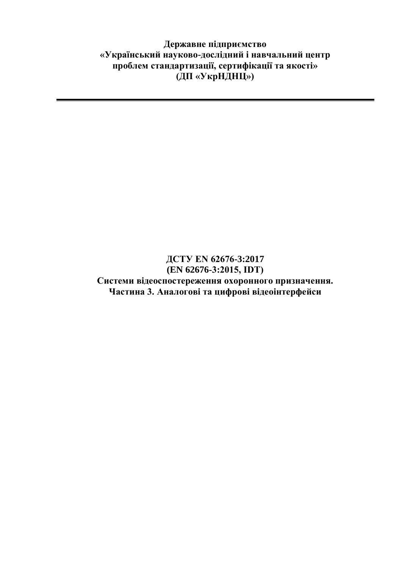**Державне підприємство «Український науково-дослідний і навчальний центр проблем стандартизації, сертифікації та якості» (ДП «УкрНДНЦ»)**

## **ДСТУ EN 62676-3:2017 (EN 62676-3:2015, IDТ) Системи відеоспостереження охоронного призначення. Частина 3. Аналогові та цифрові відеоінтерфейси**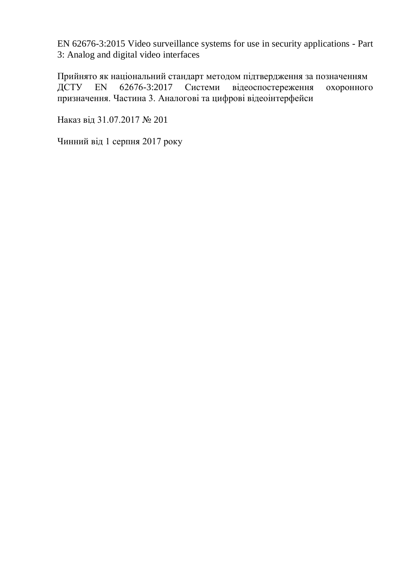EN 62676-3:2015 Video surveillance systems for use in security applications - Part 3: Analog and digital video interfaces

Прийнято як національний стандарт методом підтвердження за позначенням ДСТУ EN 62676-3:2017 Системи відеоспостереження охоронного призначення. Частина 3. Аналогові та цифрові відеоінтерфейси

Наказ від 31.07.2017 № 201

Чинний від 1 серпня 2017 року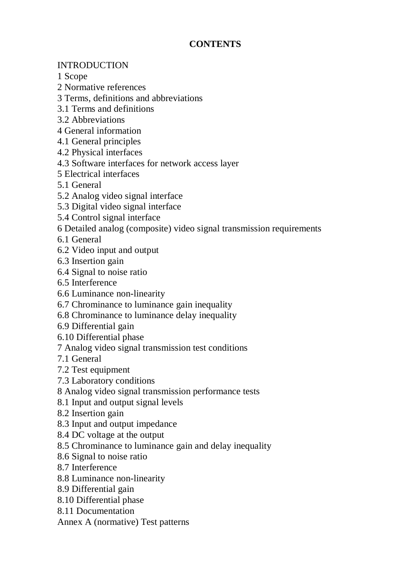## **CONTENTS**

## INTRODUCTION

1 Scope

2 Normative references

3 Terms, definitions and abbreviations

3.1 Terms and definitions

3.2 Abbreviations

4 General information

4.1 General principles

4.2 Physical interfaces

4.3 Software interfaces for network access layer

5 Electrical interfaces

5.1 General

5.2 Analog video signal interface

5.3 Digital video signal interface

5.4 Control signal interface

6 Detailed analog (composite) video signal transmission requirements

6.1 General

6.2 Video input and output

6.3 Insertion gain

6.4 Signal to noise ratio

6.5 Interference

6.6 Luminance non-linearity

6.7 Chrominance to luminance gain inequality

6.8 Chrominance to luminance delay inequality

6.9 Differential gain

6.10 Differential phase

7 Analog video signal transmission test conditions

7.1 General

7.2 Test equipment

7.3 Laboratory conditions

8 Analog video signal transmission performance tests

8.1 Input and output signal levels

8.2 Insertion gain

8.3 Input and output impedance

8.4 DC voltage at the output

8.5 Chrominance to luminance gain and delay inequality

8.6 Signal to noise ratio

8.7 Interference

8.8 Luminance non-linearity

8.9 Differential gain

8.10 Differential phase

8.11 Documentation

Annex A (normative) Test patterns